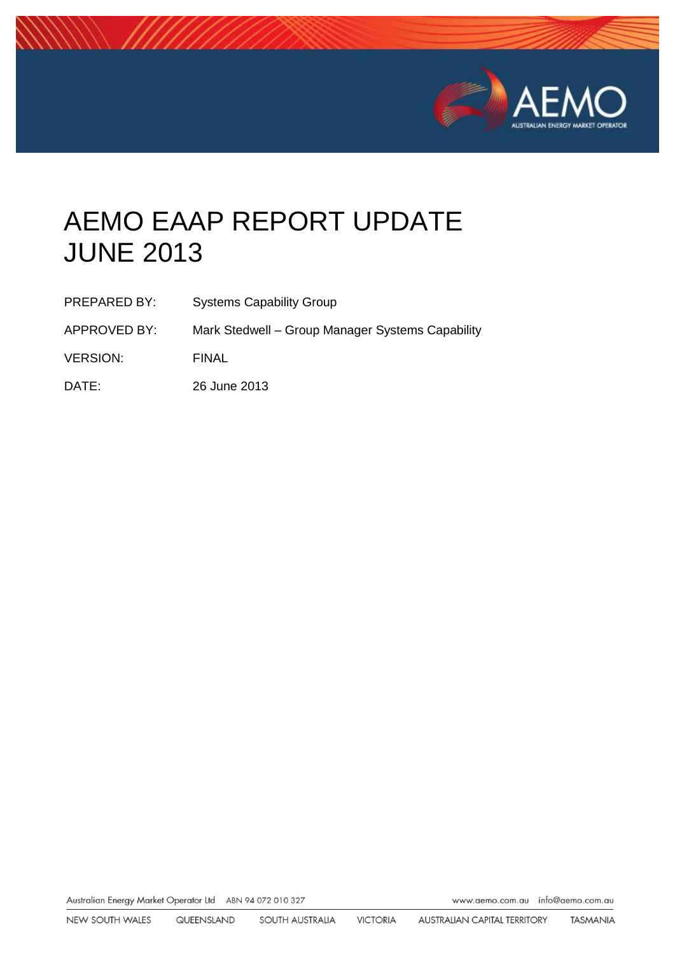

# AEMO EAAP REPORT UPDATE JUNE 2013

| <b>PREPARED BY:</b> | <b>Systems Capability Group</b> |
|---------------------|---------------------------------|
|                     |                                 |

APPROVED BY: Mark Stedwell – Group Manager Systems Capability

VERSION: FINAL

DATE: 26 June 2013

Australian Energy Market Operator Ltd ABN 94 072 010 327

www.aemo.com.au info@aemo.com.au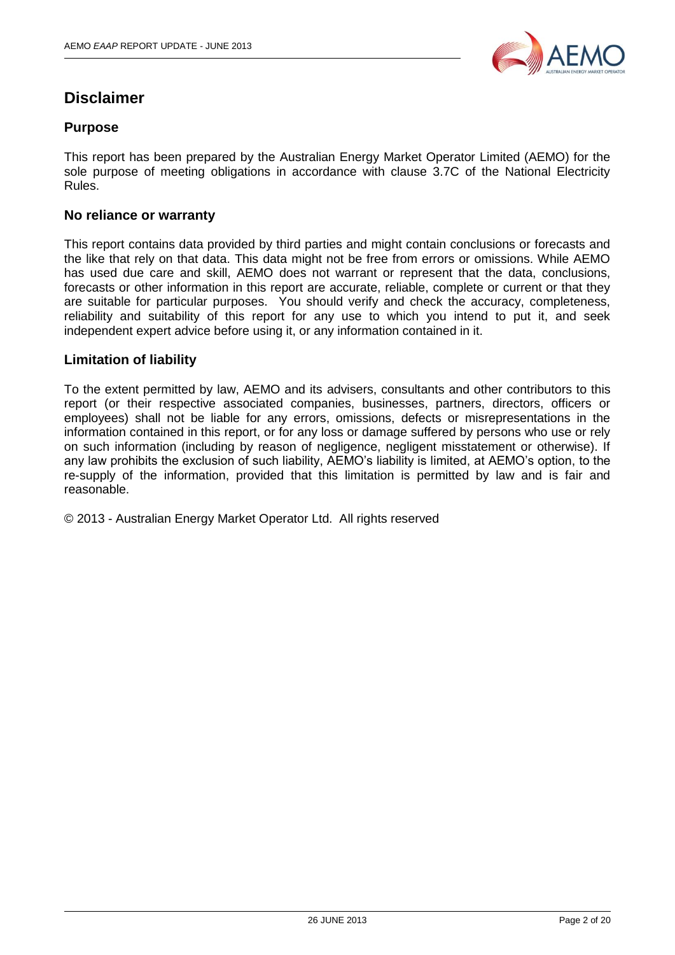

## **Disclaimer**

#### **Purpose**

This report has been prepared by the Australian Energy Market Operator Limited (AEMO) for the sole purpose of meeting obligations in accordance with clause 3.7C of the National Electricity Rules.

#### **No reliance or warranty**

This report contains data provided by third parties and might contain conclusions or forecasts and the like that rely on that data. This data might not be free from errors or omissions. While AEMO has used due care and skill, AEMO does not warrant or represent that the data, conclusions, forecasts or other information in this report are accurate, reliable, complete or current or that they are suitable for particular purposes. You should verify and check the accuracy, completeness, reliability and suitability of this report for any use to which you intend to put it, and seek independent expert advice before using it, or any information contained in it.

#### **Limitation of liability**

To the extent permitted by law, AEMO and its advisers, consultants and other contributors to this report (or their respective associated companies, businesses, partners, directors, officers or employees) shall not be liable for any errors, omissions, defects or misrepresentations in the information contained in this report, or for any loss or damage suffered by persons who use or rely on such information (including by reason of negligence, negligent misstatement or otherwise). If any law prohibits the exclusion of such liability, AEMO's liability is limited, at AEMO's option, to the re-supply of the information, provided that this limitation is permitted by law and is fair and reasonable.

© 2013 - Australian Energy Market Operator Ltd. All rights reserved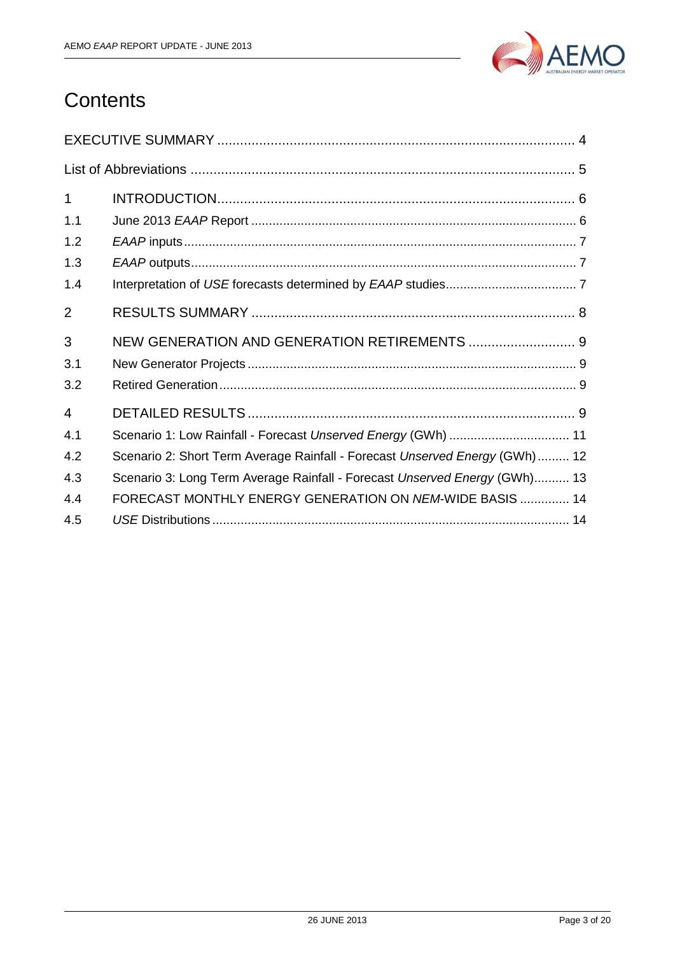

## **Contents**

| $\mathbf 1$    |                                                                             |
|----------------|-----------------------------------------------------------------------------|
| 1.1            |                                                                             |
| 1.2            |                                                                             |
| 1.3            |                                                                             |
| 1.4            |                                                                             |
| $\overline{2}$ |                                                                             |
| 3              | NEW GENERATION AND GENERATION RETIREMENTS  9                                |
| 3.1            |                                                                             |
| 3.2            |                                                                             |
| 4              |                                                                             |
| 4.1            | Scenario 1: Low Rainfall - Forecast Unserved Energy (GWh)  11               |
| 4.2            | Scenario 2: Short Term Average Rainfall - Forecast Unserved Energy (GWh) 12 |
| 4.3            | Scenario 3: Long Term Average Rainfall - Forecast Unserved Energy (GWh) 13  |
| 4.4            | FORECAST MONTHLY ENERGY GENERATION ON NEM-WIDE BASIS  14                    |
| 4.5            |                                                                             |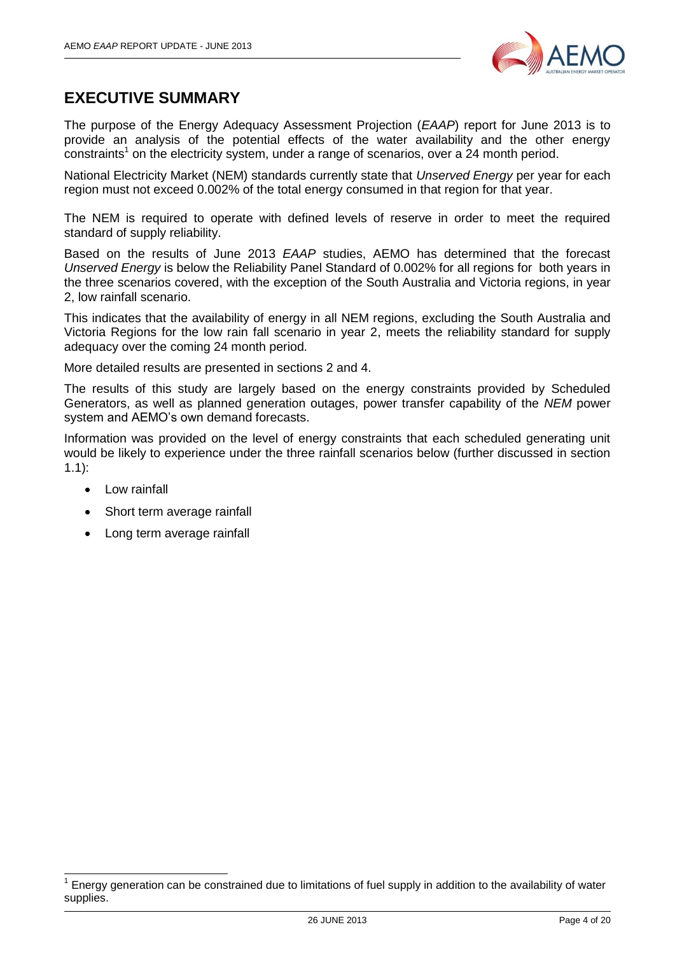

## <span id="page-3-0"></span>**EXECUTIVE SUMMARY**

The purpose of the Energy Adequacy Assessment Projection (*EAAP*) report for June 2013 is to provide an analysis of the potential effects of the water availability and the other energy  $\text{constraints}^1$  on the electricity system, under a range of scenarios, over a 24 month period.

National Electricity Market (NEM) standards currently state that *Unserved Energy* per year for each region must not exceed 0.002% of the total energy consumed in that region for that year.

The NEM is required to operate with defined levels of reserve in order to meet the required standard of supply reliability.

Based on the results of June 2013 *EAAP* studies, AEMO has determined that the forecast *Unserved Energy* is below the Reliability Panel Standard of 0.002% for all regions for both years in the three scenarios covered, with the exception of the South Australia and Victoria regions, in year 2, low rainfall scenario.

This indicates that the availability of energy in all NEM regions, excluding the South Australia and Victoria Regions for the low rain fall scenario in year 2, meets the reliability standard for supply adequacy over the coming 24 month period.

More detailed results are presented in sections [2](#page-7-0) and [4.](#page-8-3)

The results of this study are largely based on the energy constraints provided by Scheduled Generators, as well as planned generation outages, power transfer capability of the *NEM* power system and AEMO's own demand forecasts.

Information was provided on the level of energy constraints that each scheduled generating unit would be likely to experience under the three rainfall scenarios below (further discussed in section [1.1\)](#page-5-1):

• Low rainfall

 $\overline{\phantom{a}}$ 

- Short term average rainfall
- Long term average rainfall

<sup>1</sup> Energy generation can be constrained due to limitations of fuel supply in addition to the availability of water supplies.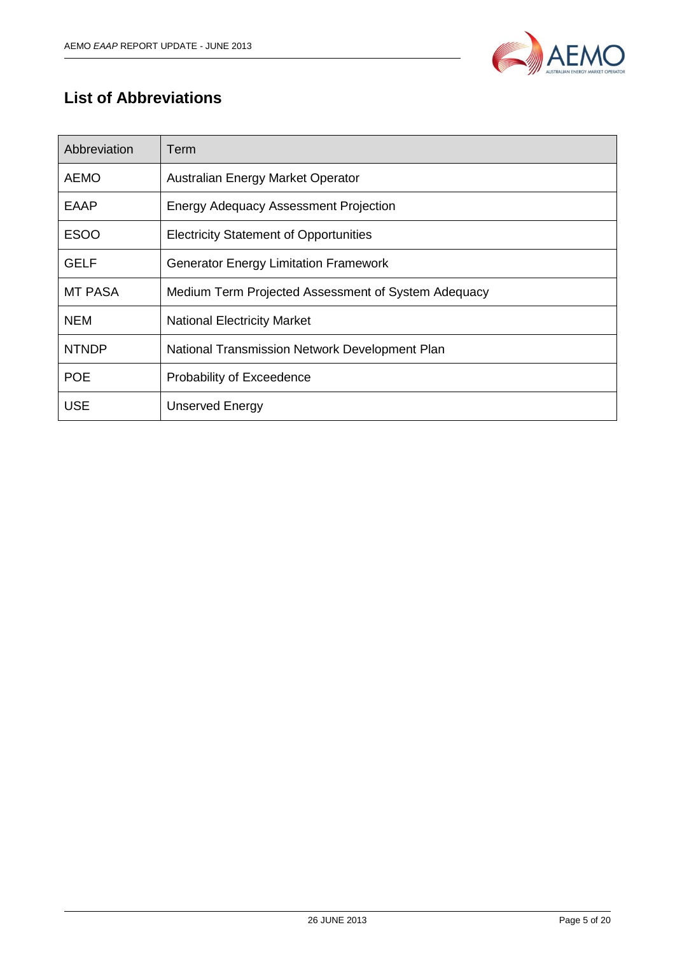

## <span id="page-4-0"></span>**List of Abbreviations**

| Abbreviation | Term                                                |
|--------------|-----------------------------------------------------|
| <b>AEMO</b>  | Australian Energy Market Operator                   |
| EAAP         | <b>Energy Adequacy Assessment Projection</b>        |
| <b>ESOO</b>  | <b>Electricity Statement of Opportunities</b>       |
| <b>GELF</b>  | <b>Generator Energy Limitation Framework</b>        |
| MT PASA      | Medium Term Projected Assessment of System Adequacy |
| <b>NEM</b>   | <b>National Electricity Market</b>                  |
| <b>NTNDP</b> | National Transmission Network Development Plan      |
| <b>POE</b>   | Probability of Exceedence                           |
| <b>USE</b>   | <b>Unserved Energy</b>                              |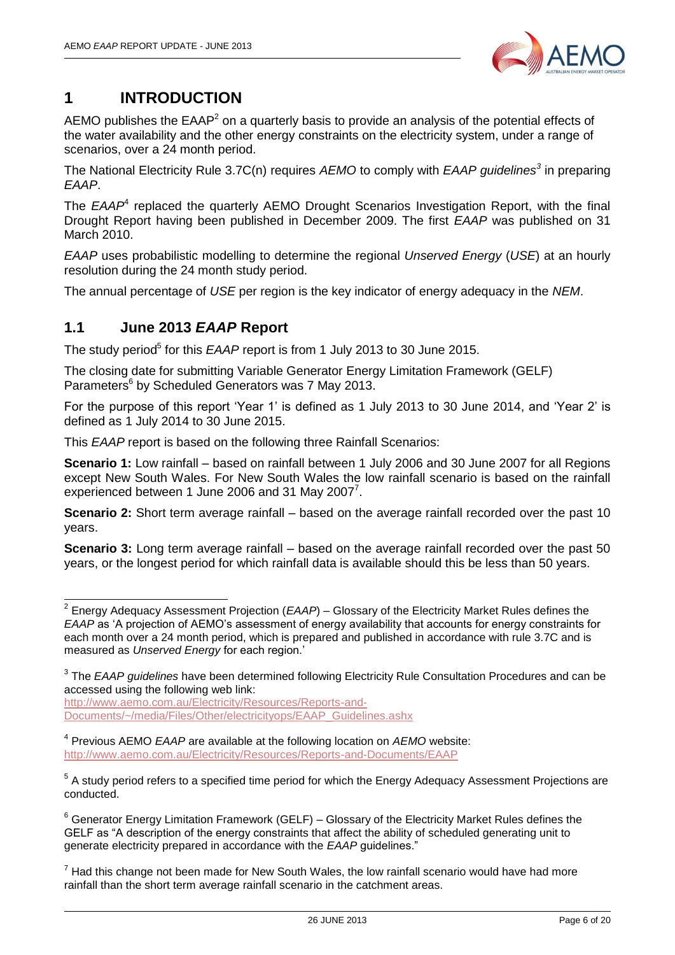

## <span id="page-5-0"></span>**1 INTRODUCTION**

AEMO publishes the  $EAAP<sup>2</sup>$  on a quarterly basis to provide an analysis of the potential effects of the water availability and the other energy constraints on the electricity system, under a range of scenarios, over a 24 month period.

The National Electricity Rule 3.7C(n) requires *AEMO* to comply with *EAAP guidelines<sup>3</sup>* in preparing *EAAP*.

The *EAAP*<sup>4</sup> replaced the quarterly AEMO Drought Scenarios Investigation Report, with the final Drought Report having been published in December 2009. The first *EAAP* was published on 31 March 2010.

*EAAP* uses probabilistic modelling to determine the regional *Unserved Energy* (*USE*) at an hourly resolution during the 24 month study period.

The annual percentage of *USE* per region is the key indicator of energy adequacy in the *NEM*.

#### <span id="page-5-1"></span>**1.1 June 2013** *EAAP* **Report**

The study period<sup>5</sup> for this *EAAP* report is from 1 July 2013 to 30 June 2015.

The closing date for submitting Variable Generator Energy Limitation Framework (GELF) Parameters<sup>6</sup> by Scheduled Generators was 7 May 2013.

For the purpose of this report 'Year 1' is defined as 1 July 2013 to 30 June 2014, and 'Year 2' is defined as 1 July 2014 to 30 June 2015.

This *EAAP* report is based on the following three Rainfall Scenarios:

**Scenario 1:** Low rainfall – based on rainfall between 1 July 2006 and 30 June 2007 for all Regions except New South Wales. For New South Wales the low rainfall scenario is based on the rainfall experienced between 1 June 2006 and 31 May 2007 $^7$ .

**Scenario 2:** Short term average rainfall – based on the average rainfall recorded over the past 10 years.

**Scenario 3:** Long term average rainfall – based on the average rainfall recorded over the past 50 years, or the longest period for which rainfall data is available should this be less than 50 years.

[http://www.aemo.com.au/Electricity/Resources/Reports-and-](http://www.aemo.com.au/Electricity/Resources/Reports-and-Documents/~/media/Files/Other/electricityops/EAAP_Guidelines.ashx)[Documents/~/media/Files/Other/electricityops/EAAP\\_Guidelines.ashx](http://www.aemo.com.au/Electricity/Resources/Reports-and-Documents/~/media/Files/Other/electricityops/EAAP_Guidelines.ashx) 

4 Previous AEMO *EAAP* are available at the following location on *AEMO* website: <http://www.aemo.com.au/Electricity/Resources/Reports-and-Documents/EAAP>

 2 Energy Adequacy Assessment Projection (*EAAP*) – Glossary of the Electricity Market Rules defines the *EAAP* as 'A projection of AEMO's assessment of energy availability that accounts for energy constraints for each month over a 24 month period, which is prepared and published in accordance with rule 3.7C and is measured as *Unserved Energy* for each region.'

<sup>3</sup> The *EAAP guidelines* have been determined following Electricity Rule Consultation Procedures and can be accessed using the following web link:

<sup>&</sup>lt;sup>5</sup> A study period refers to a specified time period for which the Energy Adequacy Assessment Projections are conducted.

 $6$  Generator Energy Limitation Framework (GELF) – Glossary of the Electricity Market Rules defines the GELF as "A description of the energy constraints that affect the ability of scheduled generating unit to generate electricity prepared in accordance with the *EAAP* guidelines."

 $7$  Had this change not been made for New South Wales, the low rainfall scenario would have had more rainfall than the short term average rainfall scenario in the catchment areas.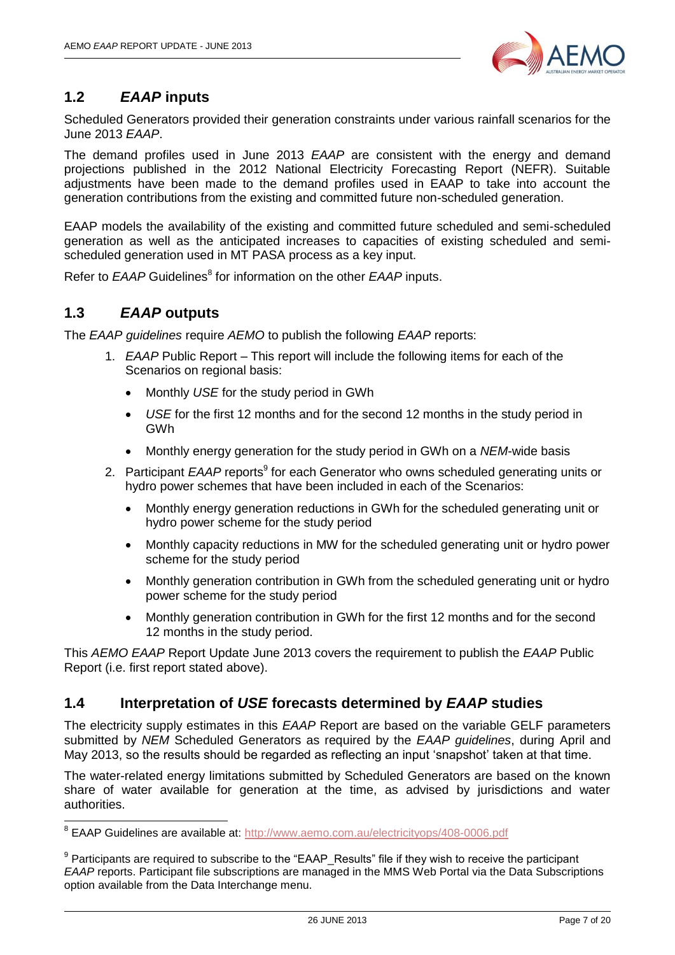

## <span id="page-6-0"></span>**1.2** *EAAP* **inputs**

Scheduled Generators provided their generation constraints under various rainfall scenarios for the June 2013 *EAAP*.

The demand profiles used in June 2013 *EAAP* are consistent with the energy and demand projections published in the 2012 National Electricity Forecasting Report (NEFR). Suitable adjustments have been made to the demand profiles used in EAAP to take into account the generation contributions from the existing and committed future non-scheduled generation.

EAAP models the availability of the existing and committed future scheduled and semi-scheduled generation as well as the anticipated increases to capacities of existing scheduled and semischeduled generation used in MT PASA process as a key input.

Refer to *EAAP* Guidelines<sup>8</sup> for information on the other *EAAP* inputs.

## <span id="page-6-1"></span>**1.3** *EAAP* **outputs**

The *EAAP guidelines* require *AEMO* to publish the following *EAAP* reports:

- 1. *EAAP* Public Report This report will include the following items for each of the Scenarios on regional basis:
	- Monthly *USE* for the study period in GWh
	- *USE* for the first 12 months and for the second 12 months in the study period in GWh
	- Monthly energy generation for the study period in GWh on a *NEM*-wide basis
- 2. Participant *EAAP* reports<sup>9</sup> for each Generator who owns scheduled generating units or hydro power schemes that have been included in each of the Scenarios:
	- Monthly energy generation reductions in GWh for the scheduled generating unit or hydro power scheme for the study period
	- Monthly capacity reductions in MW for the scheduled generating unit or hydro power scheme for the study period
	- Monthly generation contribution in GWh from the scheduled generating unit or hydro power scheme for the study period
	- Monthly generation contribution in GWh for the first 12 months and for the second 12 months in the study period.

This *AEMO EAAP* Report Update June 2013 covers the requirement to publish the *EAAP* Public Report (i.e. first report stated above).

#### <span id="page-6-2"></span>**1.4 Interpretation of** *USE* **forecasts determined by** *EAAP* **studies**

The electricity supply estimates in this *EAAP* Report are based on the variable GELF parameters submitted by *NEM* Scheduled Generators as required by the *EAAP guidelines*, during April and May 2013, so the results should be regarded as reflecting an input 'snapshot' taken at that time.

The water-related energy limitations submitted by Scheduled Generators are based on the known share of water available for generation at the time, as advised by jurisdictions and water authorities.

 8 EAAP Guidelines are available at:<http://www.aemo.com.au/electricityops/408-0006.pdf>

 $9$  Participants are required to subscribe to the "EAAP\_Results" file if they wish to receive the participant *EAAP* reports. Participant file subscriptions are managed in the MMS Web Portal via the Data Subscriptions option available from the Data Interchange menu.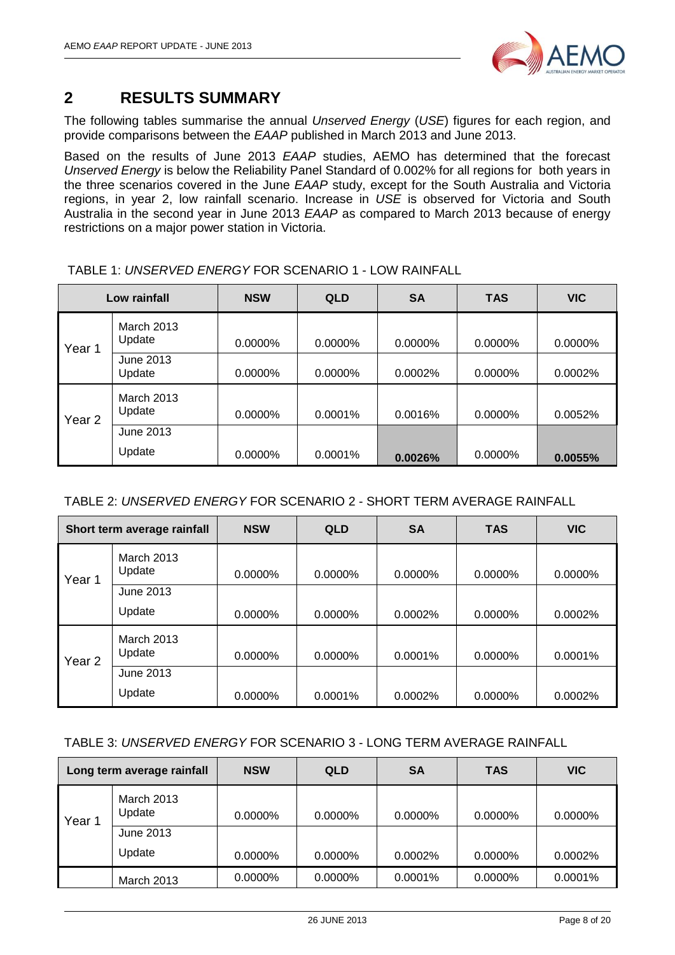

## <span id="page-7-0"></span>**2 RESULTS SUMMARY**

The following tables summarise the annual *Unserved Energy* (*USE*) figures for each region, and provide comparisons between the *EAAP* published in March 2013 and June 2013.

Based on the results of June 2013 *EAAP* studies, AEMO has determined that the forecast *Unserved Energy* is below the Reliability Panel Standard of 0.002% for all regions for both years in the three scenarios covered in the June *EAAP* study, except for the South Australia and Victoria regions, in year 2, low rainfall scenario. Increase in *USE* is observed for Victoria and South Australia in the second year in June 2013 *EAAP* as compared to March 2013 because of energy restrictions on a major power station in Victoria.

|        | Low rainfall                | <b>NSW</b> | <b>QLD</b> | <b>SA</b> | <b>TAS</b> | <b>VIC</b> |
|--------|-----------------------------|------------|------------|-----------|------------|------------|
| Year 1 | <b>March 2013</b><br>Update | 0.0000%    | 0.0000%    | 0.0000%   | 0.0000%    | 0.0000%    |
|        | June 2013<br>Update         | 0.0000%    | $0.0000\%$ | 0.0002%   | 0.0000%    | 0.0002%    |
| Year 2 | <b>March 2013</b><br>Update | 0.0000%    | 0.0001%    | 0.0016%   | 0.0000%    | 0.0052%    |
|        | June 2013                   |            |            |           |            |            |
|        | Update                      | $0.0000\%$ | $0.0001\%$ | 0.0026%   | 0.0000%    | 0.0055%    |

TABLE 1: *UNSERVED ENERGY* FOR SCENARIO 1 - LOW RAINFALL

|  | TABLE 2: UNSERVED ENERGY FOR SCENARIO 2 - SHORT TERM AVERAGE RAINFALL |
|--|-----------------------------------------------------------------------|
|  |                                                                       |

|                                       | Short term average rainfall | <b>NSW</b> | <b>QLD</b> | <b>SA</b> | <b>TAS</b> | <b>VIC</b> |
|---------------------------------------|-----------------------------|------------|------------|-----------|------------|------------|
| <b>March 2013</b><br>Update<br>Year 1 |                             | $0.0000\%$ | 0.0000%    | 0.0000%   | $0.0000\%$ | 0.0000%    |
|                                       | June 2013                   |            |            |           |            |            |
|                                       | Update                      | $0.0000\%$ | 0.0000%    | 0.0002%   | $0.0000\%$ | 0.0002%    |
| Year 2                                | <b>March 2013</b><br>Update | $0.0000\%$ | 0.0000%    | 0.0001%   | $0.0000\%$ | 0.0001%    |
|                                       | June 2013                   |            |            |           |            |            |
|                                       | Update                      | 0.0000%    | 0.0001%    | 0.0002%   | $0.0000\%$ | 0.0002%    |

#### TABLE 3: *UNSERVED ENERGY* FOR SCENARIO 3 - LONG TERM AVERAGE RAINFALL

| Long term average rainfall |                      | <b>NSW</b> | <b>QLD</b> | <b>SA</b> | <b>TAS</b> | <b>VIC</b> |
|----------------------------|----------------------|------------|------------|-----------|------------|------------|
| Year 1                     | March 2013<br>Update | $0.0000\%$ | $0.0000\%$ | 0.0000%   | $0.0000\%$ | $0.0000\%$ |
|                            | June 2013            |            |            |           |            |            |
|                            | Update               | $0.0000\%$ | $0.0000\%$ | 0.0002%   | $0.0000\%$ | 0.0002%    |
|                            | March 2013           | $0.0000\%$ | $0.0000\%$ | 0.0001%   | $0.0000\%$ | 0.0001%    |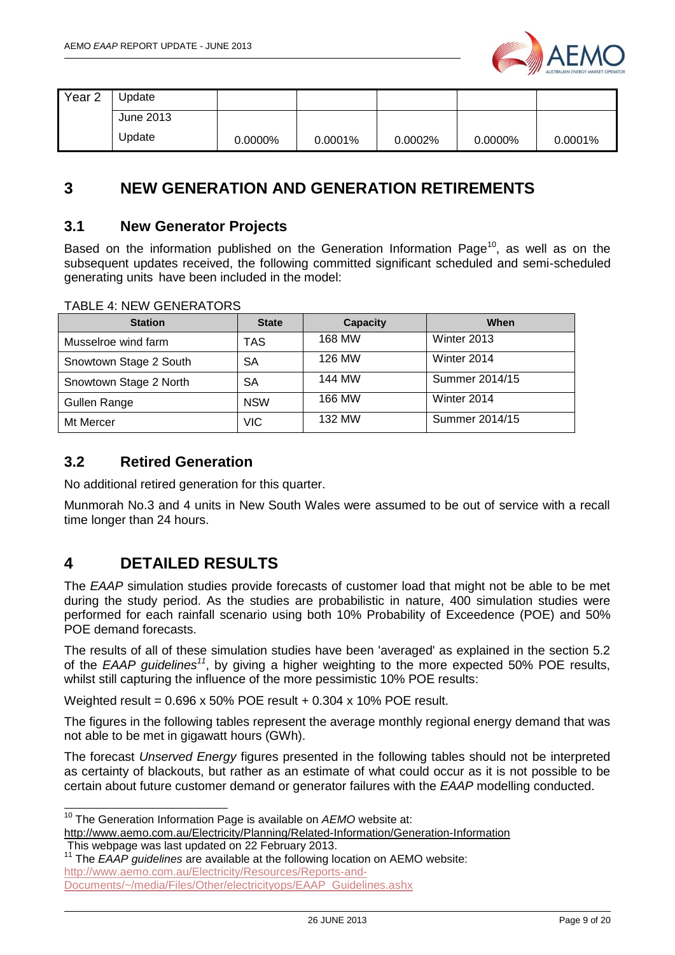

| Year <sub>2</sub> | Jpdate    |         |         |         |            |            |
|-------------------|-----------|---------|---------|---------|------------|------------|
|                   | June 2013 |         |         |         |            |            |
|                   | Update    | 0.0000% | 0.0001% | 0.0002% | $0.0000\%$ | $0.0001\%$ |

## <span id="page-8-0"></span>**3 NEW GENERATION AND GENERATION RETIREMENTS**

#### <span id="page-8-1"></span>**3.1 New Generator Projects**

Based on the information published on the Generation Information Page<sup>10</sup>, as well as on the subsequent updates received, the following committed significant scheduled and semi-scheduled generating units have been included in the model:

| <b>Station</b>         | <b>State</b> | <b>Capacity</b> | When           |
|------------------------|--------------|-----------------|----------------|
| Musselroe wind farm    | TAS          | 168 MW          | Winter 2013    |
| Snowtown Stage 2 South | SА           | 126 MW          | Winter 2014    |
| Snowtown Stage 2 North | SА           | 144 MW          | Summer 2014/15 |
| Gullen Range           | <b>NSW</b>   | 166 MW          | Winter 2014    |
| Mt Mercer              | VIC          | 132 MW          | Summer 2014/15 |

#### TABLE 4: NEW GENERATORS

#### <span id="page-8-2"></span>**3.2 Retired Generation**

No additional retired generation for this quarter.

Munmorah No.3 and 4 units in New South Wales were assumed to be out of service with a recall time longer than 24 hours.

## <span id="page-8-3"></span>**4 DETAILED RESULTS**

The *EAAP* simulation studies provide forecasts of customer load that might not be able to be met during the study period. As the studies are probabilistic in nature, 400 simulation studies were performed for each rainfall scenario using both 10% Probability of Exceedence (POE) and 50% POE demand forecasts.

The results of all of these simulation studies have been 'averaged' as explained in the section 5.2 of the *EAAP guidelines<sup>11</sup>* , by giving a higher weighting to the more expected 50% POE results, whilst still capturing the influence of the more pessimistic 10% POE results:

Weighted result = 0.696 x 50% POE result + 0.304 x 10% POE result.

The figures in the following tables represent the average monthly regional energy demand that was not able to be met in gigawatt hours (GWh).

The forecast *Unserved Energy* figures presented in the following tables should not be interpreted as certainty of blackouts, but rather as an estimate of what could occur as it is not possible to be certain about future customer demand or generator failures with the *EAAP* modelling conducted.

This webpage was last updated on 22 February 2013.

-

<sup>&</sup>lt;sup>10</sup> The Generation Information Page is available on AEMO website at:

<http://www.aemo.com.au/Electricity/Planning/Related-Information/Generation-Information>

<sup>11</sup> The *EAAP guidelines* are available at the following location on AEMO website: [http://www.aemo.com.au/Electricity/Resources/Reports-and-](http://www.aemo.com.au/Electricity/Resources/Reports-and-Documents/~/media/Files/Other/electricityops/EAAP_Guidelines.ashx)[Documents/~/media/Files/Other/electricityops/EAAP\\_Guidelines.ashx](http://www.aemo.com.au/Electricity/Resources/Reports-and-Documents/~/media/Files/Other/electricityops/EAAP_Guidelines.ashx)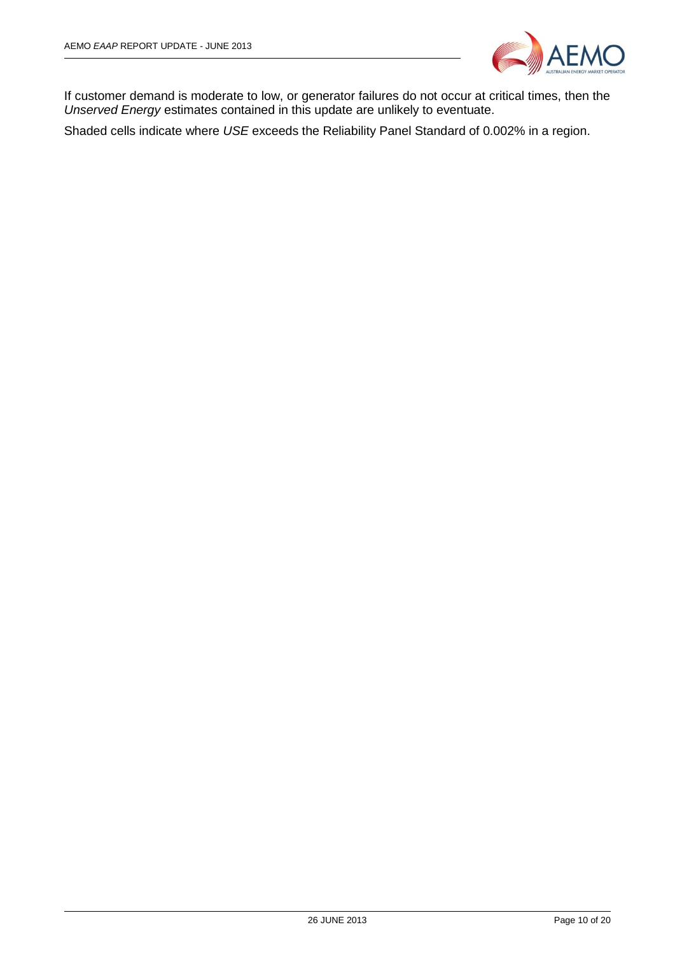

If customer demand is moderate to low, or generator failures do not occur at critical times, then the *Unserved Energy* estimates contained in this update are unlikely to eventuate.

Shaded cells indicate where *USE* exceeds the Reliability Panel Standard of 0.002% in a region.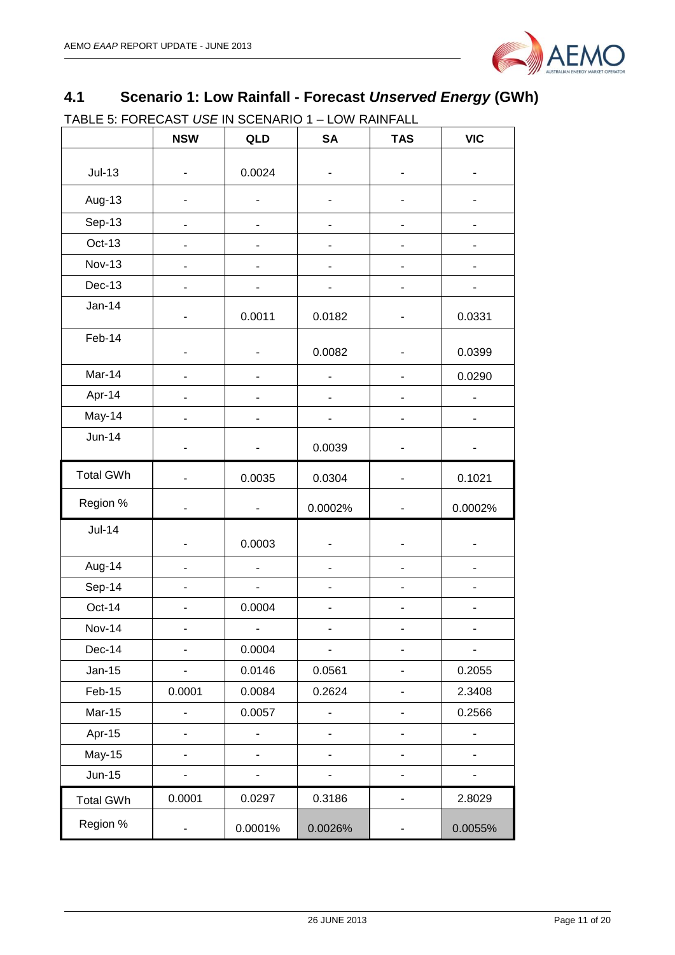

## <span id="page-10-0"></span>**4.1 Scenario 1: Low Rainfall - Forecast** *Unserved Energy* **(GWh)**

TABLE 5: FORECAST *USE* IN SCENARIO 1 – LOW RAINFALL

|                  | <b>NSW</b>                   | QLD                      | <b>SA</b> | <b>TAS</b>                   | <b>VIC</b> |
|------------------|------------------------------|--------------------------|-----------|------------------------------|------------|
| $Jul-13$         |                              | 0.0024                   |           |                              |            |
| Aug-13           |                              |                          |           |                              |            |
| Sep-13           |                              |                          |           | -                            |            |
| Oct-13           |                              |                          |           |                              |            |
| <b>Nov-13</b>    | ٠                            | ٠                        | -         | $\qquad \qquad \blacksquare$ |            |
| Dec-13           |                              |                          |           | -                            |            |
| $Jan-14$         |                              | 0.0011                   | 0.0182    |                              | 0.0331     |
| Feb-14           | $\overline{\phantom{a}}$     |                          | 0.0082    |                              | 0.0399     |
| Mar-14           |                              |                          |           |                              | 0.0290     |
| Apr-14           |                              |                          |           |                              |            |
| May-14           |                              |                          |           |                              |            |
| $Jun-14$         |                              |                          | 0.0039    |                              |            |
| <b>Total GWh</b> |                              | 0.0035                   | 0.0304    |                              | 0.1021     |
| Region %         | $\overline{\phantom{a}}$     | $\overline{\phantom{0}}$ | 0.0002%   | $\qquad \qquad \blacksquare$ | 0.0002%    |
| <b>Jul-14</b>    | $\overline{\phantom{a}}$     | 0.0003                   |           | $\qquad \qquad \blacksquare$ |            |
| Aug-14           |                              |                          |           |                              |            |
| Sep-14           |                              |                          |           |                              |            |
| Oct-14           |                              | 0.0004                   |           |                              |            |
| <b>Nov-14</b>    | $\overline{\phantom{a}}$     | $\frac{1}{2}$            | -         | $\overline{\phantom{a}}$     |            |
| Dec-14           |                              | 0.0004                   |           |                              |            |
| $Jan-15$         | $\qquad \qquad \blacksquare$ | 0.0146                   | 0.0561    | -                            | 0.2055     |
| Feb-15           | 0.0001                       | 0.0084                   | 0.2624    | $\overline{\phantom{0}}$     | 2.3408     |
| <b>Mar-15</b>    |                              | 0.0057                   |           | $\overline{\phantom{a}}$     | 0.2566     |
| Apr-15           | $\blacksquare$               | -                        | ۰         | -                            | -          |
| <b>May-15</b>    |                              | -                        |           | $\blacksquare$               |            |
| $Jun-15$         | $\overline{\phantom{0}}$     | $\overline{\phantom{0}}$ | -         | $\overline{\phantom{a}}$     |            |
| <b>Total GWh</b> | 0.0001                       | 0.0297                   | 0.3186    | $\qquad \qquad \blacksquare$ | 2.8029     |
| Region %         | -                            | 0.0001%                  | 0.0026%   |                              | 0.0055%    |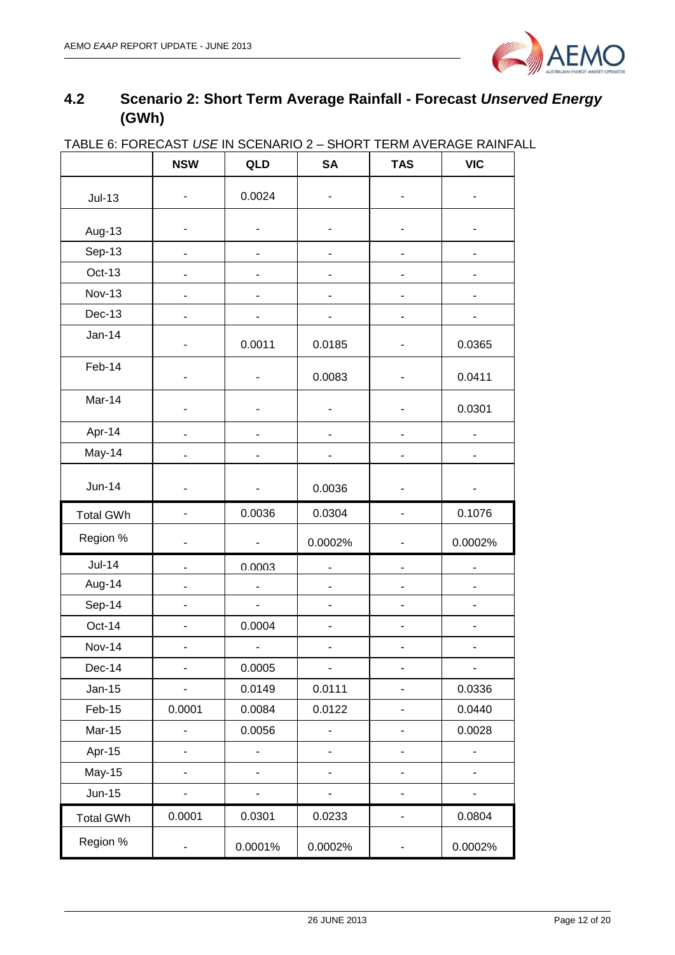

## <span id="page-11-0"></span>**4.2 Scenario 2: Short Term Average Rainfall - Forecast** *Unserved Energy* **(GWh)**

| <b>INDEE 0. I ONE ONOT OUR IN O</b> |                          | <b>&gt; &gt; 11 12 12 13 14</b> | י ייטו יט                | ______________               | ᇦᆸᆪᇄᇄ                    |
|-------------------------------------|--------------------------|---------------------------------|--------------------------|------------------------------|--------------------------|
|                                     | <b>NSW</b>               | QLD                             | <b>SA</b>                | <b>TAS</b>                   | <b>VIC</b>               |
| $Jul-13$                            |                          | 0.0024                          |                          |                              |                          |
| Aug-13                              |                          |                                 |                          |                              |                          |
| Sep-13                              |                          |                                 |                          |                              |                          |
| Oct-13                              |                          |                                 |                          |                              |                          |
| <b>Nov-13</b>                       |                          |                                 |                          |                              |                          |
| <b>Dec-13</b>                       |                          |                                 |                          |                              |                          |
| $Jan-14$                            |                          | 0.0011                          | 0.0185                   |                              | 0.0365                   |
| Feb-14                              |                          |                                 | 0.0083                   |                              | 0.0411                   |
| Mar-14                              | ٠                        |                                 |                          |                              | 0.0301                   |
| Apr-14                              | ٠                        | ٠                               |                          |                              |                          |
| May-14                              |                          |                                 |                          |                              |                          |
| <b>Jun-14</b>                       | $\overline{\phantom{0}}$ | -                               | 0.0036                   | $\blacksquare$               |                          |
| <b>Total GWh</b>                    | $\overline{\phantom{a}}$ | 0.0036                          | 0.0304                   |                              | 0.1076                   |
| Region %                            | $\overline{\phantom{0}}$ | $\qquad \qquad \blacksquare$    | 0.0002%                  |                              | 0.0002%                  |
| <b>Jul-14</b>                       |                          | 0.0003                          |                          |                              |                          |
| Aug-14                              |                          | $\overline{\phantom{0}}$        |                          |                              |                          |
| Sep-14                              |                          | $\blacksquare$                  |                          |                              |                          |
| Oct-14                              |                          | 0.0004                          |                          |                              |                          |
| <b>Nov-14</b>                       |                          |                                 |                          |                              |                          |
| Dec-14                              | $\overline{\phantom{0}}$ | 0.0005                          | $\overline{\phantom{m}}$ | $\overline{\phantom{a}}$     | $\overline{\phantom{0}}$ |
| <b>Jan-15</b>                       | -                        | 0.0149                          | 0.0111                   | $\overline{\phantom{a}}$     | 0.0336                   |
| Feb-15                              | 0.0001                   | 0.0084                          | 0.0122                   | $\qquad \qquad \blacksquare$ | 0.0440                   |
| <b>Mar-15</b>                       |                          | 0.0056                          |                          |                              | 0.0028                   |
| Apr-15                              |                          | $\overline{a}$                  |                          |                              | $\overline{a}$           |
| <b>May-15</b>                       |                          |                                 |                          | $\overline{\phantom{0}}$     |                          |
| <b>Jun-15</b>                       |                          |                                 |                          |                              |                          |
| <b>Total GWh</b>                    | 0.0001                   | 0.0301                          | 0.0233                   | $\qquad \qquad \blacksquare$ | 0.0804                   |
| Region %                            | -                        | 0.0001%                         | 0.0002%                  | ٠                            | 0.0002%                  |

#### TABLE 6: FORECAST *USE* IN SCENARIO 2 – SHORT TERM AVERAGE RAINFALL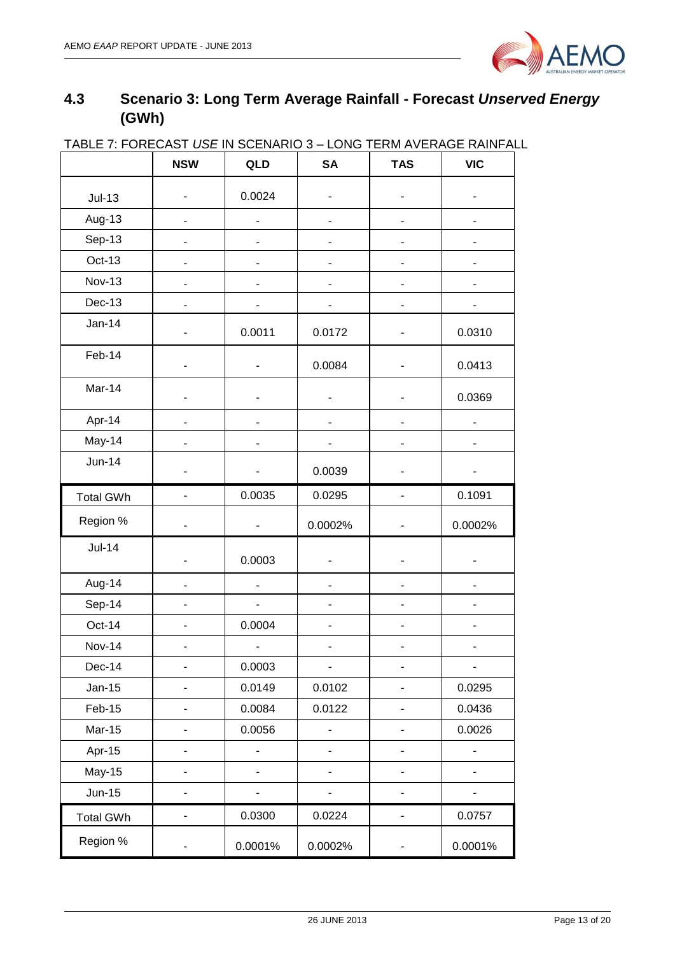

## <span id="page-12-0"></span>**4.3 Scenario 3: Long Term Average Rainfall - Forecast** *Unserved Energy* **(GWh)**

| <u> IADLE 7. FUREUAST USE IN SUENARIU 3 – LUNG TERM AVERAGE RAINFAL</u> | <b>NSW</b> | QLD                          | <b>SA</b> | <b>TAS</b>                   | <b>VIC</b> |
|-------------------------------------------------------------------------|------------|------------------------------|-----------|------------------------------|------------|
| $Jul-13$                                                                |            | 0.0024                       |           |                              |            |
| Aug-13                                                                  |            |                              |           |                              |            |
| Sep-13                                                                  |            |                              |           |                              |            |
| Oct-13                                                                  |            |                              | -         |                              |            |
| <b>Nov-13</b>                                                           | -          |                              |           |                              |            |
| $Dec-13$                                                                |            |                              |           |                              |            |
| $Jan-14$                                                                |            | 0.0011                       | 0.0172    |                              | 0.0310     |
| Feb-14                                                                  | -          | $\qquad \qquad \blacksquare$ | 0.0084    |                              | 0.0413     |
| Mar-14                                                                  |            |                              |           |                              | 0.0369     |
| Apr-14                                                                  |            |                              |           |                              |            |
| May-14                                                                  |            |                              |           |                              |            |
| <b>Jun-14</b>                                                           |            |                              | 0.0039    |                              |            |
| <b>Total GWh</b>                                                        |            | 0.0035                       | 0.0295    |                              | 0.1091     |
| Region %                                                                |            |                              | 0.0002%   |                              | 0.0002%    |
| $Jul-14$                                                                |            | 0.0003                       |           |                              |            |
| Aug-14                                                                  |            |                              |           |                              |            |
| Sep-14                                                                  |            | $\overline{a}$               |           |                              |            |
| Oct-14                                                                  |            | 0.0004                       | ٠         |                              |            |
| <b>Nov-14</b>                                                           | -          | -                            | -         |                              |            |
| Dec-14                                                                  |            | 0.0003                       |           |                              |            |
| Jan-15                                                                  |            | 0.0149                       | 0.0102    |                              | 0.0295     |
| Feb-15                                                                  |            | 0.0084                       | 0.0122    |                              | 0.0436     |
| Mar-15                                                                  |            | 0.0056                       |           |                              | 0.0026     |
| Apr-15                                                                  |            |                              |           |                              |            |
| <b>May-15</b>                                                           |            | -                            | -         |                              |            |
| <b>Jun-15</b>                                                           | -          | -                            | -         |                              |            |
| <b>Total GWh</b>                                                        | -          | 0.0300                       | 0.0224    | $\qquad \qquad \blacksquare$ | 0.0757     |
| Region %                                                                | -          | 0.0001%                      | 0.0002%   |                              | 0.0001%    |

## TABLE 7: FORECAST *USE* IN SCENARIO 3 – LONG TERM AVERAGE RAINFALL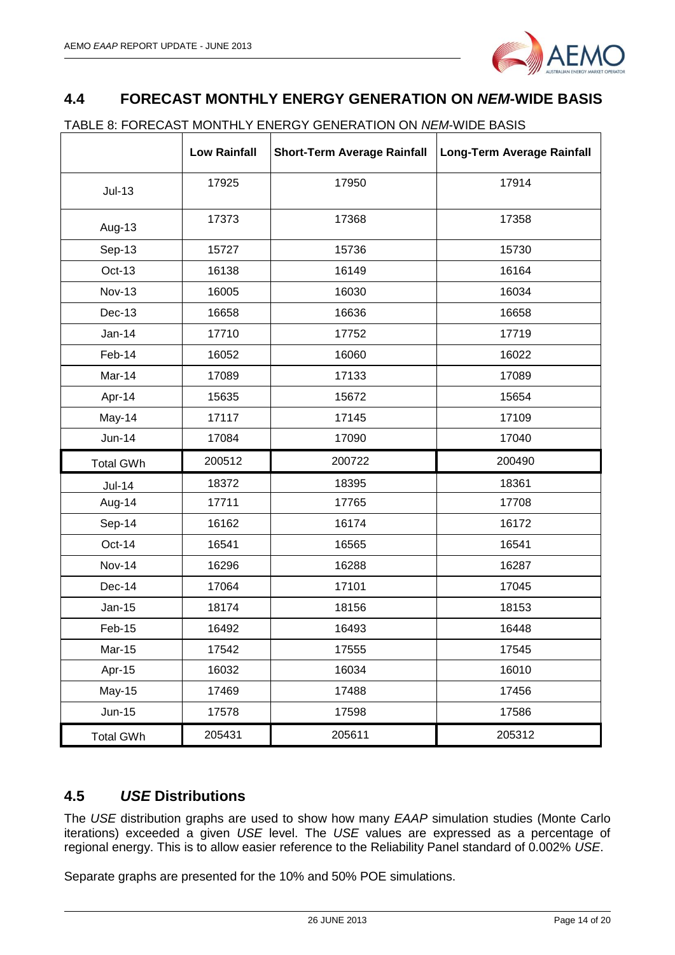

## <span id="page-13-0"></span>**4.4 FORECAST MONTHLY ENERGY GENERATION ON** *NEM***-WIDE BASIS**

|                  | <b>Low Rainfall</b> | <b>Short-Term Average Rainfall</b> | <b>Long-Term Average Rainfall</b> |
|------------------|---------------------|------------------------------------|-----------------------------------|
| $Jul-13$         | 17925               | 17950                              | 17914                             |
| Aug-13           | 17373               | 17368                              | 17358                             |
| Sep-13           | 15727               | 15736                              | 15730                             |
| Oct-13           | 16138               | 16149                              | 16164                             |
| <b>Nov-13</b>    | 16005               | 16030                              | 16034                             |
| Dec-13           | 16658               | 16636                              | 16658                             |
| <b>Jan-14</b>    | 17710               | 17752                              | 17719                             |
| Feb-14           | 16052               | 16060                              | 16022                             |
| Mar-14           | 17089               | 17133                              | 17089                             |
| Apr-14           | 15635               | 15672                              | 15654                             |
| May-14           | 17117               | 17145                              | 17109                             |
| <b>Jun-14</b>    | 17084               | 17090                              | 17040                             |
| <b>Total GWh</b> | 200512              | 200722                             | 200490                            |
| <b>Jul-14</b>    | 18372               | 18395                              | 18361                             |
| Aug-14           | 17711               | 17765                              | 17708                             |
| Sep-14           | 16162               | 16174                              | 16172                             |
| Oct-14           | 16541               | 16565                              | 16541                             |
| <b>Nov-14</b>    | 16296               | 16288                              | 16287                             |
| Dec-14           | 17064               | 17101                              | 17045                             |
| Jan-15           | 18174               | 18156                              | 18153                             |
| Feb-15           | 16492               | 16493                              | 16448                             |
| <b>Mar-15</b>    | 17542               | 17555                              | 17545                             |
| Apr-15           | 16032               | 16034                              | 16010                             |
| <b>May-15</b>    | 17469               | 17488                              | 17456                             |
| <b>Jun-15</b>    | 17578               | 17598                              | 17586                             |
| <b>Total GWh</b> | 205431              | 205611                             | 205312                            |

### <span id="page-13-1"></span>**4.5** *USE* **Distributions**

The *USE* distribution graphs are used to show how many *EAAP* simulation studies (Monte Carlo iterations) exceeded a given *USE* level. The *USE* values are expressed as a percentage of regional energy. This is to allow easier reference to the Reliability Panel standard of 0.002% *USE*.

Separate graphs are presented for the 10% and 50% POE simulations.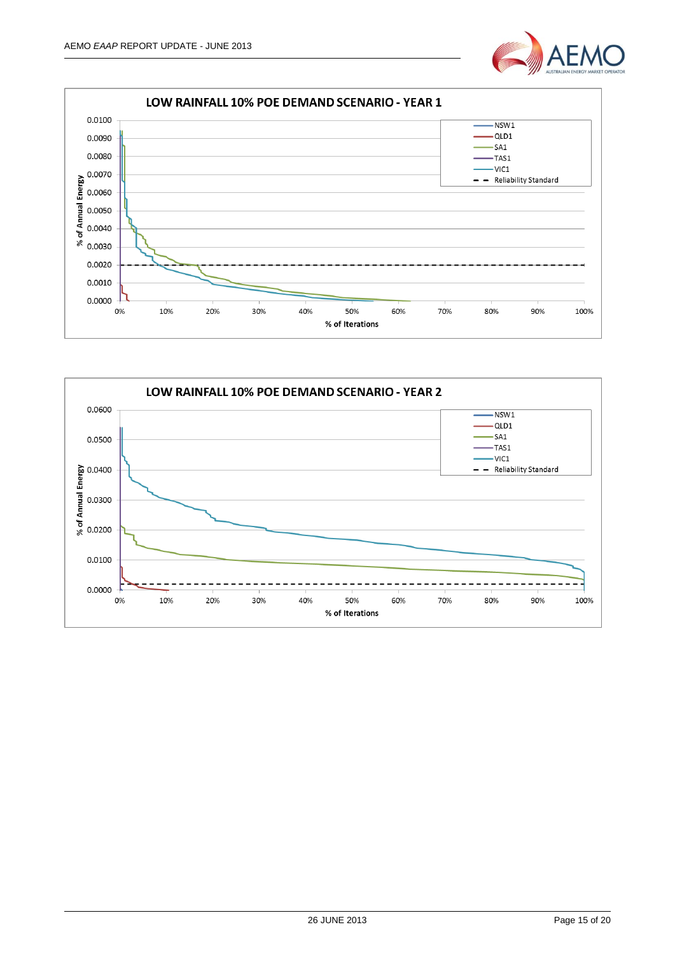



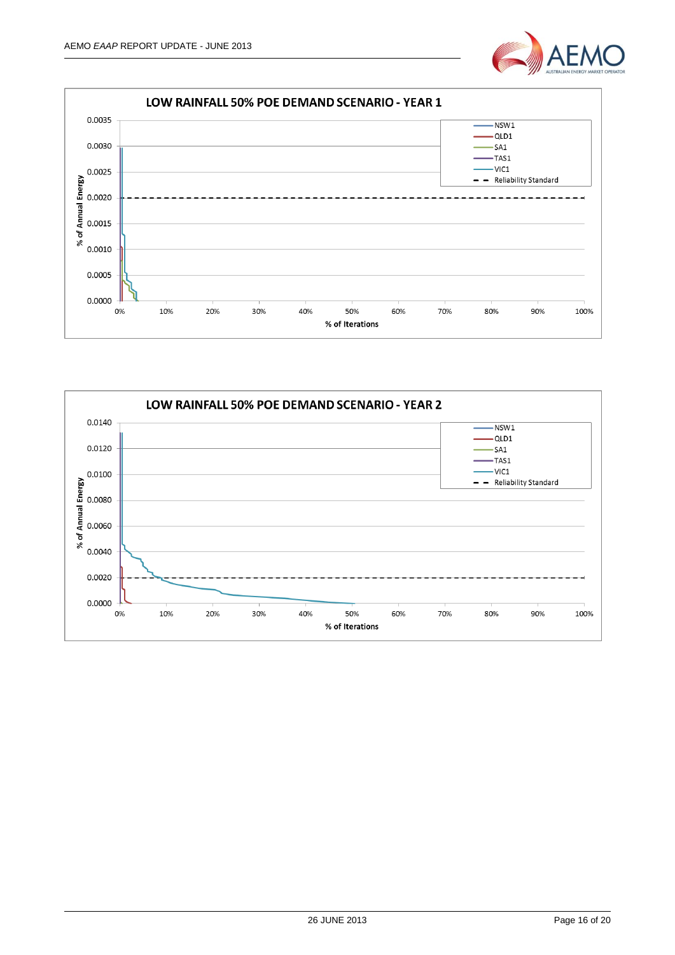



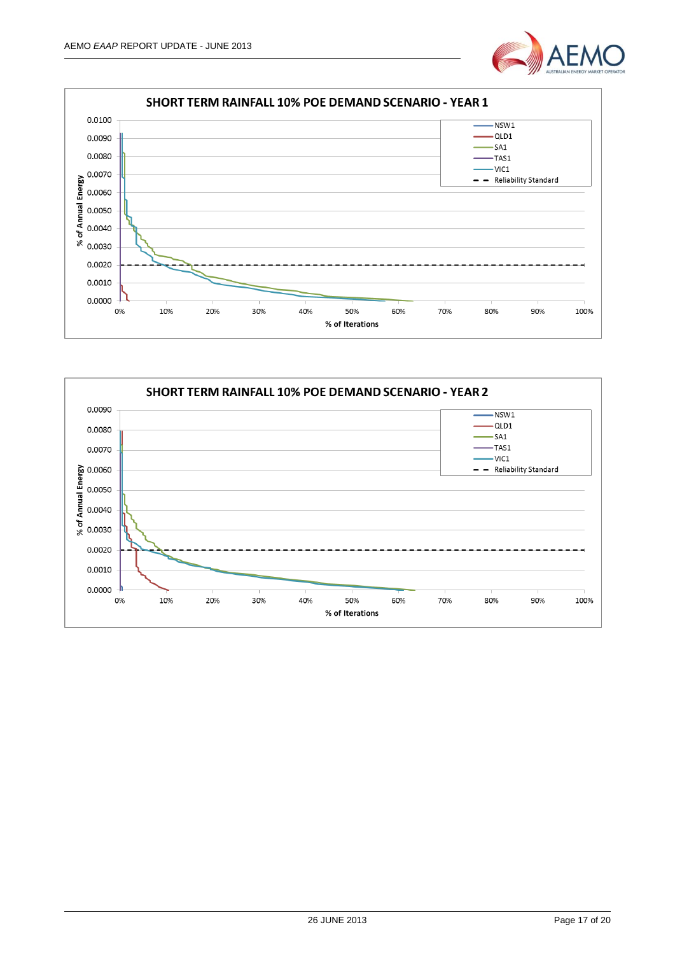



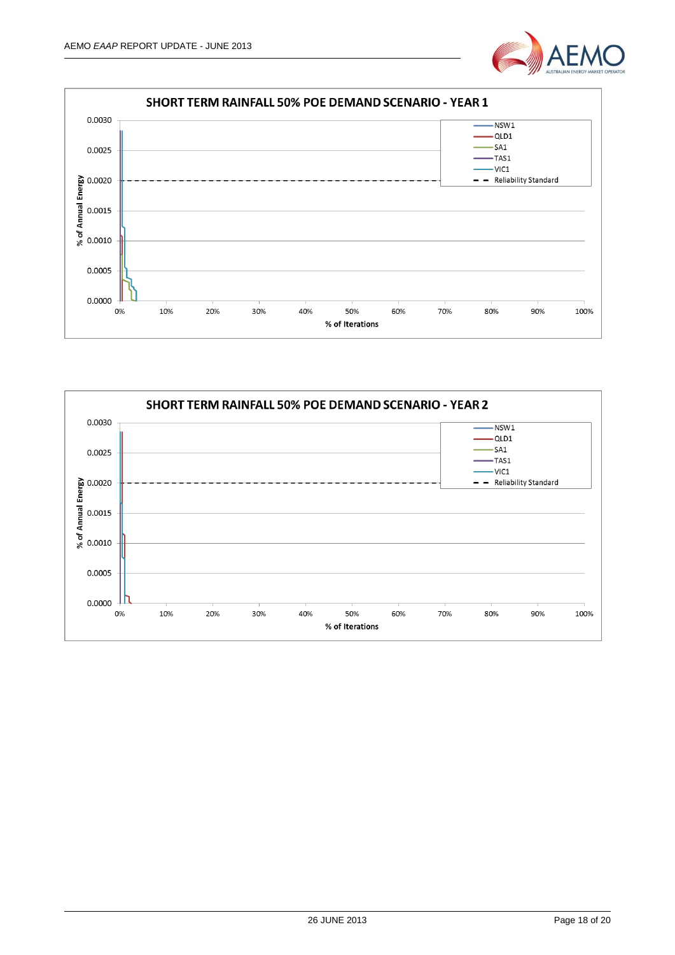



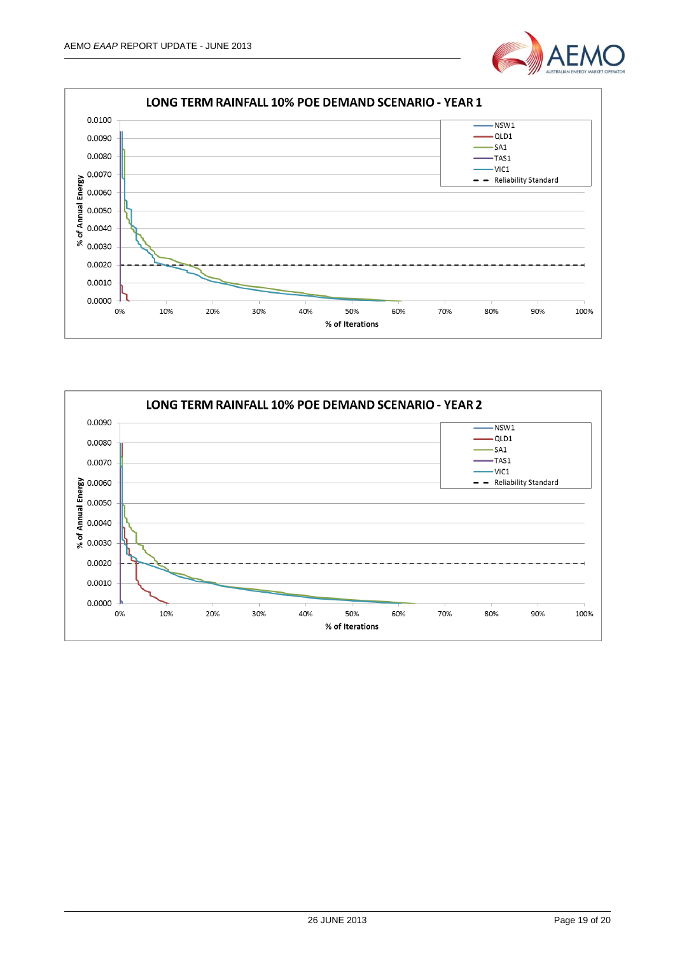